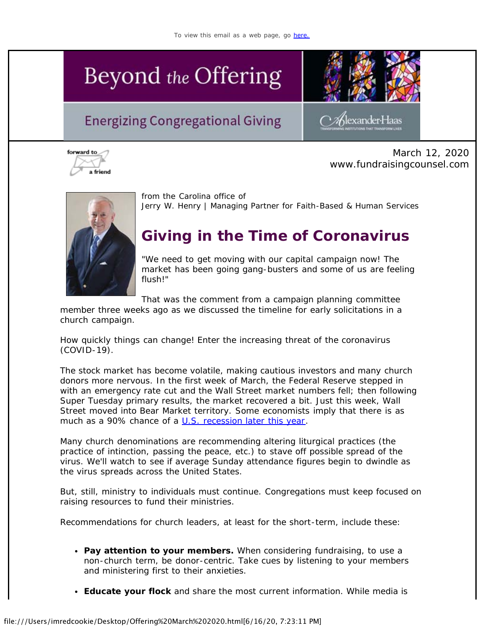# Beyond the Offering

## **Energizing Congregational Giving**



Klexander-Haas

forward to a friend

March 12, 2020 www.fundraisingcounsel.com



from the Carolina office of *Jerry W. Henry* | Managing Partner for Faith-Based & Human Services

# **Giving in the Time of Coronavirus**

"We need to get moving with our capital campaign now! The market has been going gang-busters and some of us are feeling flush!"

That was the comment from a campaign planning committee

member three weeks ago as we discussed the timeline for early solicitations in a church campaign.

How quickly things can change! Enter the increasing threat of the coronavirus (COVID-19).

The stock market has become volatile, making cautious investors and many church donors more nervous. In the first week of March, the Federal Reserve stepped in with an emergency rate cut and the Wall Street market numbers fell; then following Super Tuesday primary results, the market recovered a bit. Just this week, Wall Street moved into Bear Market territory. Some economists imply that there is as much as a 90% chance of a [U.S. recession later this year.](https://cl.exct.net/?qs=3365de6a38a0d00985c17399926ea16a6330949dba7ed6368d4bf757e39a1abe45b826a8e57d91d2b2e6a2b8427c56bd)

Many church denominations are recommending altering liturgical practices (the practice of intinction, passing the peace, etc.) to stave off possible spread of the virus. We'll watch to see if average Sunday attendance figures begin to dwindle as the virus spreads across the United States.

But, still, ministry to individuals must continue. Congregations must keep focused on raising resources to fund their ministries.

Recommendations for church leaders, at least for the short-term, include these:

- **Pay attention to your members.** When considering fundraising, to use a non-church term, be donor-centric. Take cues by listening to your members and ministering first to their anxieties.
- **Educate your flock** and share the most current information. While media is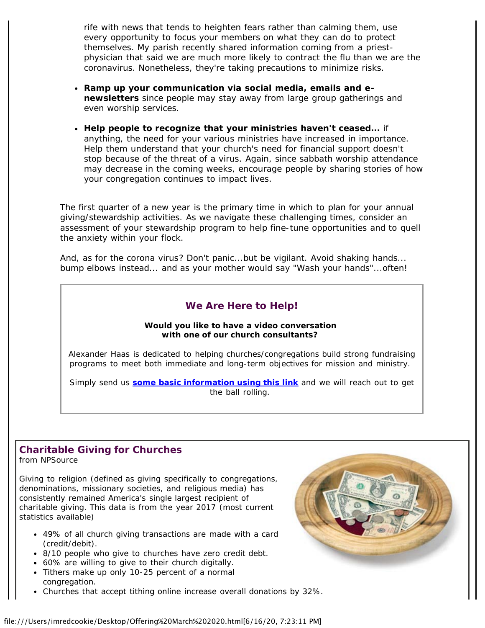rife with news that tends to heighten fears rather than calming them, use every opportunity to focus your members on what they can do to protect themselves. My parish recently shared information coming from a priestphysician that said we are much more likely to contract the flu than we are the coronavirus. Nonetheless, they're taking precautions to minimize risks.

- **Ramp up your communication via social media, emails and enewsletters** since people may stay away from large group gatherings and even worship services.
- **Help people to recognize that your ministries haven't ceased...** if anything, the need for your various ministries have increased in importance. Help them understand that your church's need for financial support doesn't stop because of the threat of a virus. Again, since sabbath worship attendance may decrease in the coming weeks, encourage people by sharing stories of how your congregation continues to impact lives.

The first quarter of a new year is the primary time in which to plan for your annual giving/stewardship activities. As we navigate these challenging times, consider an assessment of your stewardship program to help fine-tune opportunities and to quell the anxiety within your flock.

And, as for the corona virus? Don't panic...but be vigilant. Avoid shaking hands... bump elbows instead... and as your mother would say "Wash your hands"...often!



## **Charitable Giving for Churches**

*from NPSource*

Giving to religion (defined as giving specifically to congregations, denominations, missionary societies, and religious media) has consistently remained America's single largest recipient of charitable giving. This data is from the year 2017 (most current statistics available)

- 49% of all church giving transactions are made with a card (credit/debit).
- 8/10 people who give to churches have zero credit debt.
- 60% are willing to give to their church digitally.
- Tithers make up only 10-25 percent of a normal congregation.
- Churches that accept tithing online increase overall donations by 32%.

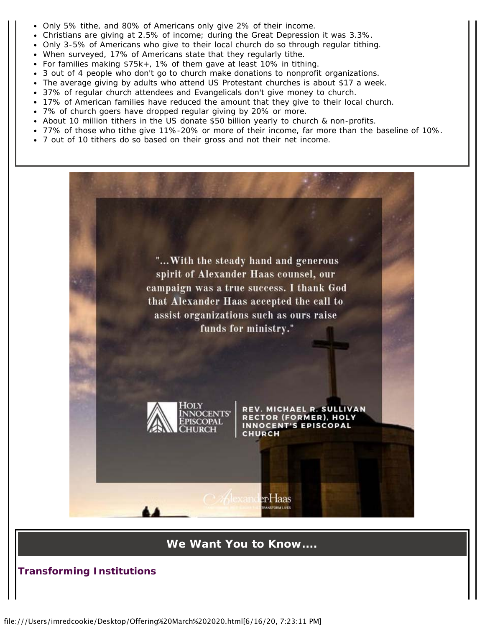- Only 5% tithe, and 80% of Americans only give 2% of their income.
- Christians are giving at 2.5% of income; during the Great Depression it was 3.3%.
- Only 3-5% of Americans who give to their local church do so through regular tithing.
- When surveyed, 17% of Americans state that they regularly tithe.
- For families making \$75k+, 1% of them gave at least 10% in tithing.
- 3 out of 4 people who don't go to church make donations to nonprofit organizations.
- The average giving by adults who attend US Protestant churches is about \$17 a week.
- 37% of regular church attendees and Evangelicals don't give money to church.
- 17% of American families have reduced the amount that they give to their local church.
- 7% of church goers have dropped regular giving by 20% or more.
- About 10 million tithers in the US donate \$50 billion yearly to church & non-profits.
- 77% of those who tithe give 11%-20% or more of their income, far more than the baseline of 10%.
- 7 out of 10 tithers do so based on their gross and not their net income.



**We Want You to** *Know....*

*Transforming* **Institutions**